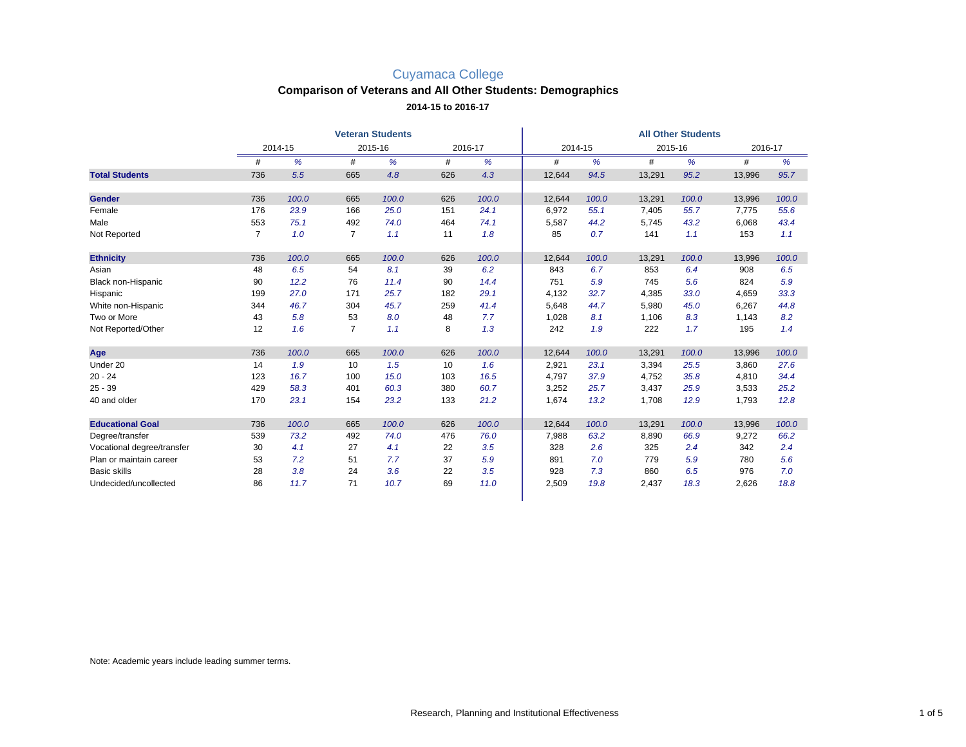#### **Comparison of Veterans and All Other Students: Demographics**

**2014-15 to 2016-17**

|                            |                | <b>Veteran Students</b> |                |       |         |       |         | <b>All Other Students</b> |         |       |         |       |  |  |
|----------------------------|----------------|-------------------------|----------------|-------|---------|-------|---------|---------------------------|---------|-------|---------|-------|--|--|
|                            |                | 2014-15                 | 2015-16        |       | 2016-17 |       | 2014-15 |                           | 2015-16 |       | 2016-17 |       |  |  |
|                            | #              | %                       | #              | %     | #       | %     | #       | %                         | #       | %     | #       | %     |  |  |
| <b>Total Students</b>      | 736            | 5.5                     | 665            | 4.8   | 626     | 4.3   | 12,644  | 94.5                      | 13,291  | 95.2  | 13,996  | 95.7  |  |  |
| <b>Gender</b>              | 736            | 100.0                   | 665            | 100.0 | 626     | 100.0 | 12,644  | 100.0                     | 13,291  | 100.0 | 13,996  | 100.0 |  |  |
| Female                     | 176            | 23.9                    | 166            | 25.0  | 151     | 24.1  | 6,972   | 55.1                      | 7.405   | 55.7  | 7.775   | 55.6  |  |  |
| Male                       | 553            | 75.1                    | 492            | 74.0  | 464     | 74.1  | 5,587   | 44.2                      | 5,745   | 43.2  | 6,068   | 43.4  |  |  |
| Not Reported               | $\overline{7}$ | 1.0                     | $\overline{7}$ | 1.1   | 11      | 1.8   | 85      | 0.7                       | 141     | 1.1   | 153     | 1.1   |  |  |
| <b>Ethnicity</b>           | 736            | 100.0                   | 665            | 100.0 | 626     | 100.0 | 12,644  | 100.0                     | 13,291  | 100.0 | 13,996  | 100.0 |  |  |
| Asian                      | 48             | 6.5                     | 54             | 8.1   | 39      | 6.2   | 843     | 6.7                       | 853     | 6.4   | 908     | 6.5   |  |  |
| Black non-Hispanic         | 90             | 12.2                    | 76             | 11.4  | 90      | 14.4  | 751     | 5.9                       | 745     | 5.6   | 824     | 5.9   |  |  |
| Hispanic                   | 199            | 27.0                    | 171            | 25.7  | 182     | 29.1  | 4,132   | 32.7                      | 4,385   | 33.0  | 4,659   | 33.3  |  |  |
| White non-Hispanic         | 344            | 46.7                    | 304            | 45.7  | 259     | 41.4  | 5,648   | 44.7                      | 5,980   | 45.0  | 6.267   | 44.8  |  |  |
| Two or More                | 43             | 5.8                     | 53             | 8.0   | 48      | 7.7   | 1,028   | 8.1                       | 1,106   | 8.3   | 1,143   | 8.2   |  |  |
| Not Reported/Other         | 12             | 1.6                     | $\overline{7}$ | 1.1   | 8       | 1.3   | 242     | 1.9                       | 222     | 1.7   | 195     | 1.4   |  |  |
| Age                        | 736            | 100.0                   | 665            | 100.0 | 626     | 100.0 | 12,644  | 100.0                     | 13,291  | 100.0 | 13,996  | 100.0 |  |  |
| Under 20                   | 14             | 1.9                     | 10             | 1.5   | 10      | 1.6   | 2,921   | 23.1                      | 3,394   | 25.5  | 3,860   | 27.6  |  |  |
| $20 - 24$                  | 123            | 16.7                    | 100            | 15.0  | 103     | 16.5  | 4,797   | 37.9                      | 4,752   | 35.8  | 4,810   | 34.4  |  |  |
| $25 - 39$                  | 429            | 58.3                    | 401            | 60.3  | 380     | 60.7  | 3,252   | 25.7                      | 3,437   | 25.9  | 3,533   | 25.2  |  |  |
| 40 and older               | 170            | 23.1                    | 154            | 23.2  | 133     | 21.2  | 1,674   | 13.2                      | 1,708   | 12.9  | 1,793   | 12.8  |  |  |
| <b>Educational Goal</b>    | 736            | 100.0                   | 665            | 100.0 | 626     | 100.0 | 12,644  | 100.0                     | 13,291  | 100.0 | 13,996  | 100.0 |  |  |
| Degree/transfer            | 539            | 73.2                    | 492            | 74.0  | 476     | 76.0  | 7,988   | 63.2                      | 8,890   | 66.9  | 9,272   | 66.2  |  |  |
| Vocational degree/transfer | 30             | 4.1                     | 27             | 4.1   | 22      | 3.5   | 328     | 2.6                       | 325     | 2.4   | 342     | 2.4   |  |  |
| Plan or maintain career    | 53             | 7.2                     | 51             | 7.7   | 37      | 5.9   | 891     | 7.0                       | 779     | 5.9   | 780     | 5.6   |  |  |
| <b>Basic skills</b>        | 28             | 3.8                     | 24             | 3.6   | 22      | 3.5   | 928     | 7.3                       | 860     | 6.5   | 976     | 7.0   |  |  |
| Undecided/uncollected      | 86             | 11.7                    | 71             | 10.7  | 69      | 11.0  | 2,509   | 19.8                      | 2,437   | 18.3  | 2,626   | 18.8  |  |  |

Note: Academic years include leading summer terms.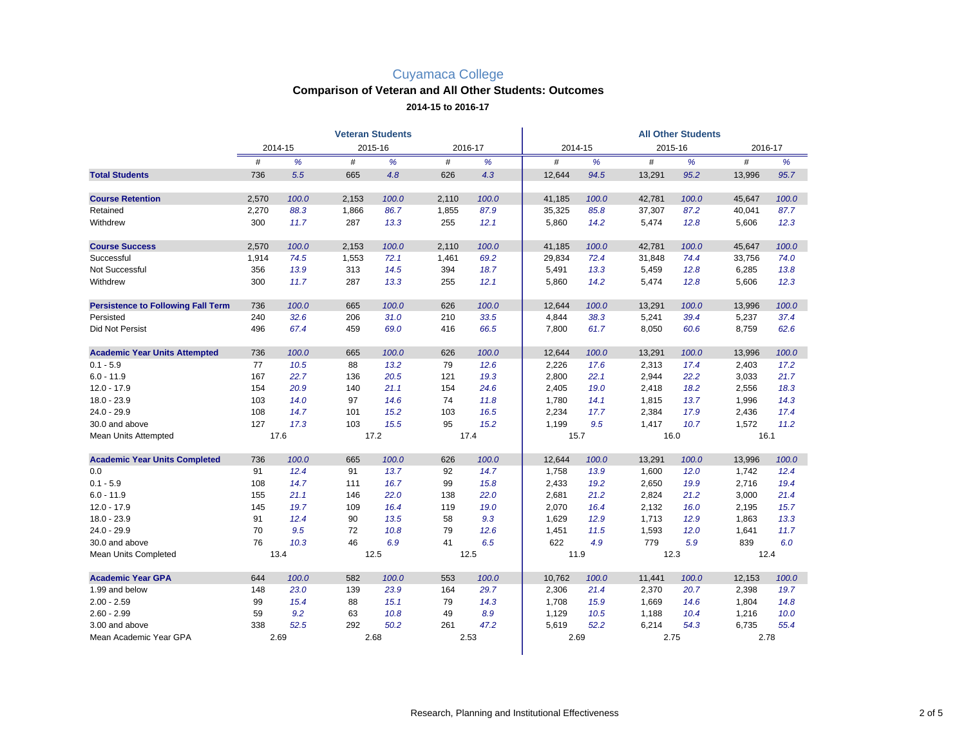# **Comparison of Veteran and All Other Students: Outcomes**

#### **2014-15 to 2016-17**

|                                           | <b>Veteran Students</b> |         |         |       |         |       | <b>All Other Students</b> |       |         |       |        |         |  |
|-------------------------------------------|-------------------------|---------|---------|-------|---------|-------|---------------------------|-------|---------|-------|--------|---------|--|
|                                           |                         | 2014-15 | 2015-16 |       | 2016-17 |       | 2014-15                   |       | 2015-16 |       |        | 2016-17 |  |
|                                           | #                       | %       | #       | %     | #       | %     | #                         | %     | #       | %     | #      | %       |  |
| <b>Total Students</b>                     | 736                     | 5.5     | 665     | 4.8   | 626     | 4.3   | 12,644                    | 94.5  | 13,291  | 95.2  | 13,996 | 95.7    |  |
| <b>Course Retention</b>                   | 2,570                   | 100.0   | 2,153   | 100.0 | 2,110   | 100.0 | 41,185                    | 100.0 | 42,781  | 100.0 | 45,647 | 100.0   |  |
| Retained                                  | 2,270                   | 88.3    | 1,866   | 86.7  | 1,855   | 87.9  | 35,325                    | 85.8  | 37,307  | 87.2  | 40,041 | 87.7    |  |
| Withdrew                                  | 300                     | 11.7    | 287     | 13.3  | 255     | 12.1  | 5,860                     | 14.2  | 5,474   | 12.8  | 5,606  | 12.3    |  |
| <b>Course Success</b>                     | 2,570                   | 100.0   | 2,153   | 100.0 | 2,110   | 100.0 | 41,185                    | 100.0 | 42,781  | 100.0 | 45,647 | 100.0   |  |
| Successful                                | 1,914                   | 74.5    | 1,553   | 72.1  | 1,461   | 69.2  | 29,834                    | 72.4  | 31,848  | 74.4  | 33,756 | 74.0    |  |
| Not Successful                            | 356                     | 13.9    | 313     | 14.5  | 394     | 18.7  | 5,491                     | 13.3  | 5,459   | 12.8  | 6,285  | 13.8    |  |
| Withdrew                                  | 300                     | 11.7    | 287     | 13.3  | 255     | 12.1  | 5,860                     | 14.2  | 5,474   | 12.8  | 5,606  | 12.3    |  |
| <b>Persistence to Following Fall Term</b> | 736                     | 100.0   | 665     | 100.0 | 626     | 100.0 | 12,644                    | 100.0 | 13,291  | 100.0 | 13,996 | 100.0   |  |
| Persisted                                 | 240                     | 32.6    | 206     | 31.0  | 210     | 33.5  | 4,844                     | 38.3  | 5,241   | 39.4  | 5,237  | 37.4    |  |
| <b>Did Not Persist</b>                    | 496                     | 67.4    | 459     | 69.0  | 416     | 66.5  | 7,800                     | 61.7  | 8,050   | 60.6  | 8,759  | 62.6    |  |
| <b>Academic Year Units Attempted</b>      | 736                     | 100.0   | 665     | 100.0 | 626     | 100.0 | 12,644                    | 100.0 | 13,291  | 100.0 | 13,996 | 100.0   |  |
| $0.1 - 5.9$                               | 77                      | 10.5    | 88      | 13.2  | 79      | 12.6  | 2,226                     | 17.6  | 2,313   | 17.4  | 2,403  | 17.2    |  |
| $6.0 - 11.9$                              | 167                     | 22.7    | 136     | 20.5  | 121     | 19.3  | 2,800                     | 22.1  | 2,944   | 22.2  | 3,033  | 21.7    |  |
| $12.0 - 17.9$                             | 154                     | 20.9    | 140     | 21.1  | 154     | 24.6  | 2,405                     | 19.0  | 2,418   | 18.2  | 2,556  | 18.3    |  |
| $18.0 - 23.9$                             | 103                     | 14.0    | 97      | 14.6  | 74      | 11.8  | 1,780                     | 14.1  | 1,815   | 13.7  | 1,996  | 14.3    |  |
| $24.0 - 29.9$                             | 108                     | 14.7    | 101     | 15.2  | 103     | 16.5  | 2,234                     | 17.7  | 2,384   | 17.9  | 2,436  | 17.4    |  |
| 30.0 and above                            | 127                     | 17.3    | 103     | 15.5  | 95      | 15.2  | 1,199                     | 9.5   | 1,417   | 10.7  | 1,572  | 11.2    |  |
| Mean Units Attempted                      | 17.6                    |         | 17.2    |       | 17.4    |       | 15.7                      |       | 16.0    |       | 16.1   |         |  |
| <b>Academic Year Units Completed</b>      | 736                     | 100.0   | 665     | 100.0 | 626     | 100.0 | 12,644                    | 100.0 | 13,291  | 100.0 | 13,996 | 100.0   |  |
| 0.0                                       | 91                      | 12.4    | 91      | 13.7  | 92      | 14.7  | 1,758                     | 13.9  | 1,600   | 12.0  | 1,742  | 12.4    |  |
| $0.1 - 5.9$                               | 108                     | 14.7    | 111     | 16.7  | 99      | 15.8  | 2,433                     | 19.2  | 2,650   | 19.9  | 2,716  | 19.4    |  |
| $6.0 - 11.9$                              | 155                     | 21.1    | 146     | 22.0  | 138     | 22.0  | 2,681                     | 21.2  | 2,824   | 21.2  | 3,000  | 21.4    |  |
| $12.0 - 17.9$                             | 145                     | 19.7    | 109     | 16.4  | 119     | 19.0  | 2,070                     | 16.4  | 2,132   | 16.0  | 2,195  | 15.7    |  |
| $18.0 - 23.9$                             | 91                      | 12.4    | 90      | 13.5  | 58      | 9.3   | 1,629                     | 12.9  | 1,713   | 12.9  | 1,863  | 13.3    |  |
| $24.0 - 29.9$                             | 70                      | 9.5     | 72      | 10.8  | 79      | 12.6  | 1,451                     | 11.5  | 1,593   | 12.0  | 1,641  | 11.7    |  |
| 30.0 and above                            | 76                      | 10.3    | 46      | 6.9   | 41      | 6.5   | 622                       | 4.9   | 779     | 5.9   | 839    | 6.0     |  |
| Mean Units Completed                      |                         | 13.4    | 12.5    |       | 12.5    |       | 11.9                      |       | 12.3    |       | 12.4   |         |  |
| <b>Academic Year GPA</b>                  | 644                     | 100.0   | 582     | 100.0 | 553     | 100.0 | 10,762                    | 100.0 | 11,441  | 100.0 | 12,153 | 100.0   |  |
| 1.99 and below                            | 148                     | 23.0    | 139     | 23.9  | 164     | 29.7  | 2,306                     | 21.4  | 2,370   | 20.7  | 2,398  | 19.7    |  |
| $2.00 - 2.59$                             | 99                      | 15.4    | 88      | 15.1  | 79      | 14.3  | 1,708                     | 15.9  | 1,669   | 14.6  | 1,804  | 14.8    |  |
| $2.60 - 2.99$                             | 59                      | 9.2     | 63      | 10.8  | 49      | 8.9   | 1,129                     | 10.5  | 1,188   | 10.4  | 1,216  | 10.0    |  |
| 3.00 and above                            | 338                     | 52.5    | 292     | 50.2  | 261     | 47.2  | 5,619                     | 52.2  | 6,214   | 54.3  | 6,735  | 55.4    |  |
| Mean Academic Year GPA                    |                         | 2.69    |         | 2.68  | 2.53    |       | 2.69                      |       | 2.75    |       | 2.78   |         |  |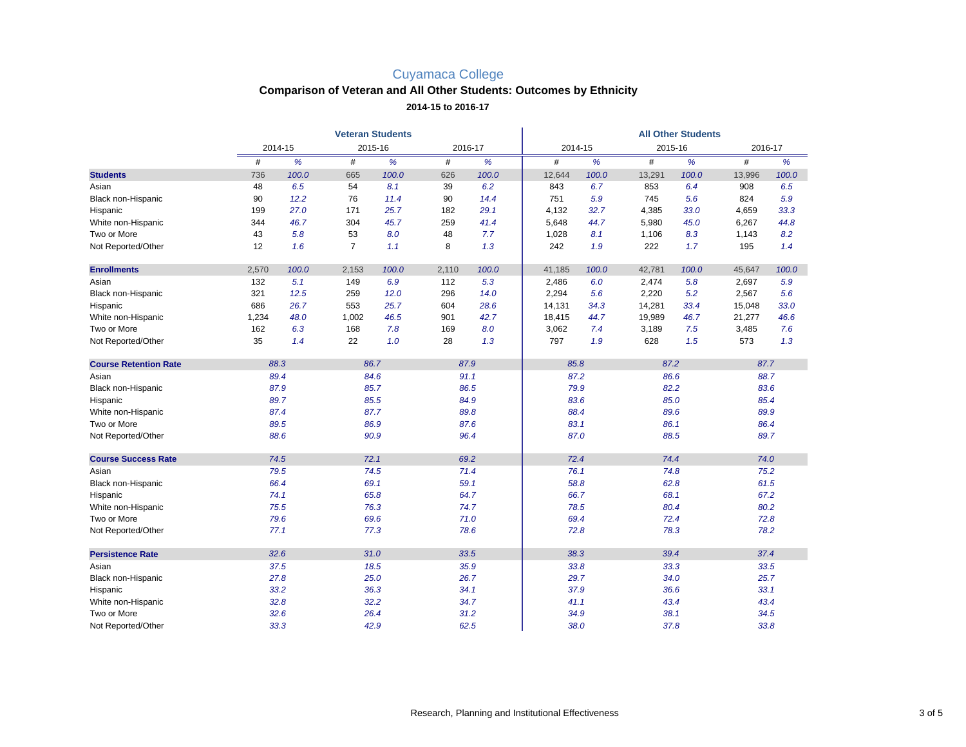## **Comparison of Veteran and All Other Students: Outcomes by Ethnicity**

**2014-15 to 2016-17**

|                              |       | <b>All Other Students</b> |                |       |         |       |         |       |         |       |        |         |  |
|------------------------------|-------|---------------------------|----------------|-------|---------|-------|---------|-------|---------|-------|--------|---------|--|
|                              |       | 2014-15                   | 2015-16        |       | 2016-17 |       | 2014-15 |       | 2015-16 |       |        | 2016-17 |  |
|                              | #     | %                         | #              | %     | #       | %     | #       | %     | #       | %     | #      | %       |  |
| <b>Students</b>              | 736   | 100.0                     | 665            | 100.0 | 626     | 100.0 | 12,644  | 100.0 | 13,291  | 100.0 | 13,996 | 100.0   |  |
| Asian                        | 48    | 6.5                       | 54             | 8.1   | 39      | 6.2   | 843     | 6.7   | 853     | 6.4   | 908    | 6.5     |  |
| Black non-Hispanic           | 90    | 12.2                      | 76             | 11.4  | 90      | 14.4  | 751     | 5.9   | 745     | 5.6   | 824    | 5.9     |  |
| Hispanic                     | 199   | 27.0                      | 171            | 25.7  | 182     | 29.1  | 4,132   | 32.7  | 4,385   | 33.0  | 4,659  | 33.3    |  |
| White non-Hispanic           | 344   | 46.7                      | 304            | 45.7  | 259     | 41.4  | 5,648   | 44.7  | 5,980   | 45.0  | 6,267  | 44.8    |  |
| Two or More                  | 43    | 5.8                       | 53             | 8.0   | 48      | 7.7   | 1,028   | 8.1   | 1,106   | 8.3   | 1,143  | 8.2     |  |
| Not Reported/Other           | 12    | 1.6                       | $\overline{7}$ | 1.1   | 8       | 1.3   | 242     | 1.9   | 222     | 1.7   | 195    | 1.4     |  |
| <b>Enrollments</b>           | 2,570 | 100.0                     | 2,153          | 100.0 | 2,110   | 100.0 | 41,185  | 100.0 | 42,781  | 100.0 | 45,647 | 100.0   |  |
| Asian                        | 132   | 5.1                       | 149            | 6.9   | 112     | 5.3   | 2,486   | 6.0   | 2,474   | 5.8   | 2,697  | 5.9     |  |
| Black non-Hispanic           | 321   | 12.5                      | 259            | 12.0  | 296     | 14.0  | 2,294   | 5.6   | 2,220   | 5.2   | 2,567  | 5.6     |  |
| Hispanic                     | 686   | 26.7                      | 553            | 25.7  | 604     | 28.6  | 14,131  | 34.3  | 14,281  | 33.4  | 15,048 | 33.0    |  |
| White non-Hispanic           | 1,234 | 48.0                      | 1,002          | 46.5  | 901     | 42.7  | 18,415  | 44.7  | 19,989  | 46.7  | 21,277 | 46.6    |  |
| Two or More                  | 162   | 6.3                       | 168            | 7.8   | 169     | 8.0   | 3,062   | 7.4   | 3,189   | 7.5   | 3,485  | 7.6     |  |
| Not Reported/Other           | 35    | 1.4                       | 22             | 1.0   | 28      | 1.3   | 797     | 1.9   | 628     | 1.5   | 573    | 1.3     |  |
| <b>Course Retention Rate</b> | 88.3  |                           | 86.7           |       | 87.9    |       | 85.8    |       | 87.2    |       | 87.7   |         |  |
| Asian                        | 89.4  |                           | 84.6           |       |         | 91.1  |         | 87.2  |         | 86.6  |        | 88.7    |  |
| Black non-Hispanic           | 87.9  |                           | 85.7           |       | 86.5    |       | 79.9    |       | 82.2    |       | 83.6   |         |  |
| Hispanic                     |       | 89.7                      | 85.5           |       |         | 84.9  |         | 83.6  | 85.0    |       | 85.4   |         |  |
| White non-Hispanic           | 87.4  |                           | 87.7           |       |         | 89.8  |         | 88.4  | 89.6    |       | 89.9   |         |  |
| Two or More                  |       | 89.5                      |                | 86.9  |         | 87.6  |         | 83.1  | 86.1    |       | 86.4   |         |  |
| Not Reported/Other           | 88.6  |                           | 90.9           |       | 96.4    |       |         | 87.0  |         | 88.5  |        | 89.7    |  |
| <b>Course Success Rate</b>   | 74.5  |                           | 72.1           |       |         | 69.2  |         | 72.4  | 74.4    |       |        | 74.0    |  |
| Asian                        | 79.5  |                           | 74.5           |       | 71.4    |       |         | 76.1  |         | 74.8  |        | 75.2    |  |
| Black non-Hispanic           | 66.4  |                           | 69.1           |       | 59.1    |       |         | 58.8  |         | 62.8  |        | 61.5    |  |
| Hispanic                     | 74.1  |                           | 65.8           |       | 64.7    |       | 66.7    |       | 68.1    |       | 67.2   |         |  |
| White non-Hispanic           |       | 75.5                      | 76.3           |       | 74.7    |       | 78.5    |       | 80.4    |       | 80.2   |         |  |
| Two or More                  |       | 79.6                      | 69.6           |       | 71.0    |       | 69.4    |       | 72.4    |       | 72.8   |         |  |
| Not Reported/Other           | 77.1  |                           |                | 77.3  |         | 78.6  |         | 72.8  | 78.3    |       | 78.2   |         |  |
| <b>Persistence Rate</b>      | 32.6  |                           | 31.0           |       |         | 33.5  | 38.3    |       | 39.4    |       | 37.4   |         |  |
| Asian                        | 37.5  |                           | 18.5           |       | 35.9    |       | 33.8    |       | 33.3    |       | 33.5   |         |  |
| Black non-Hispanic           | 27.8  |                           | 25.0           |       | 26.7    |       | 29.7    |       | 34.0    |       | 25.7   |         |  |
| Hispanic                     | 33.2  |                           |                | 36.3  |         | 34.1  |         | 37.9  |         | 36.6  |        | 33.1    |  |
| White non-Hispanic           | 32.8  |                           |                | 32.2  |         | 34.7  |         | 41.1  |         | 43.4  |        | 43.4    |  |
| Two or More                  | 32.6  |                           | 26.4           |       | 31.2    |       |         | 34.9  |         | 38.1  |        | 34.5    |  |
| Not Reported/Other           | 33.3  |                           | 42.9           |       |         | 62.5  |         | 38.0  |         | 37.8  |        | 33.8    |  |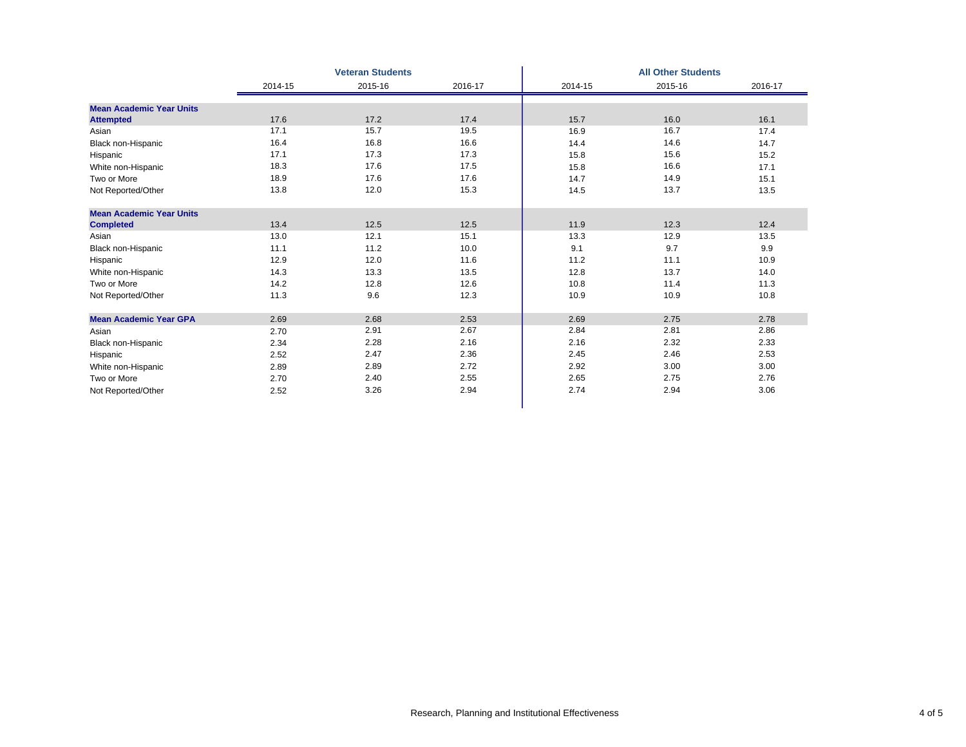| 2014-15<br>15.7<br>16.9<br>14.4<br>15.8<br>15.8<br>14.7<br>14.5 | 2015-16<br>16.0<br>16.7<br>14.6<br>15.6<br>16.6<br>14.9 | 2016-17<br>16.1<br>17.4<br>14.7<br>15.2<br>17.1<br>15.1 |
|-----------------------------------------------------------------|---------------------------------------------------------|---------------------------------------------------------|
|                                                                 |                                                         |                                                         |
|                                                                 |                                                         |                                                         |
|                                                                 |                                                         |                                                         |
|                                                                 |                                                         |                                                         |
|                                                                 |                                                         |                                                         |
|                                                                 |                                                         |                                                         |
|                                                                 |                                                         |                                                         |
|                                                                 |                                                         |                                                         |
|                                                                 | 13.7                                                    | 13.5                                                    |
|                                                                 |                                                         |                                                         |
| 11.9                                                            | 12.3                                                    | 12.4                                                    |
| 13.3                                                            | 12.9                                                    | 13.5                                                    |
| 9.1                                                             | 9.7                                                     | 9.9                                                     |
| 11.2                                                            | 11.1                                                    | 10.9                                                    |
| 12.8                                                            | 13.7                                                    | 14.0                                                    |
| 10.8                                                            | 11.4                                                    | 11.3                                                    |
| 10.9                                                            | 10.9                                                    | 10.8                                                    |
| 2.69                                                            | 2.75                                                    | 2.78                                                    |
| 2.84                                                            | 2.81                                                    | 2.86                                                    |
| 2.16                                                            | 2.32                                                    | 2.33                                                    |
| 2.45                                                            | 2.46                                                    | 2.53                                                    |
| 2.92                                                            | 3.00                                                    | 3.00                                                    |
| 2.65                                                            | 2.75                                                    | 2.76                                                    |
|                                                                 | 2.94                                                    | 3.06                                                    |
|                                                                 | 2.74                                                    |                                                         |